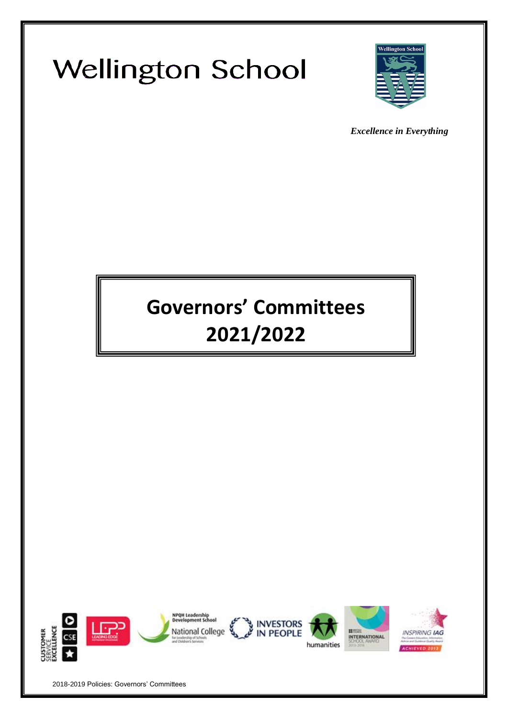



*Excellence in Everything*

# **Governors' Committees 2021/2022**

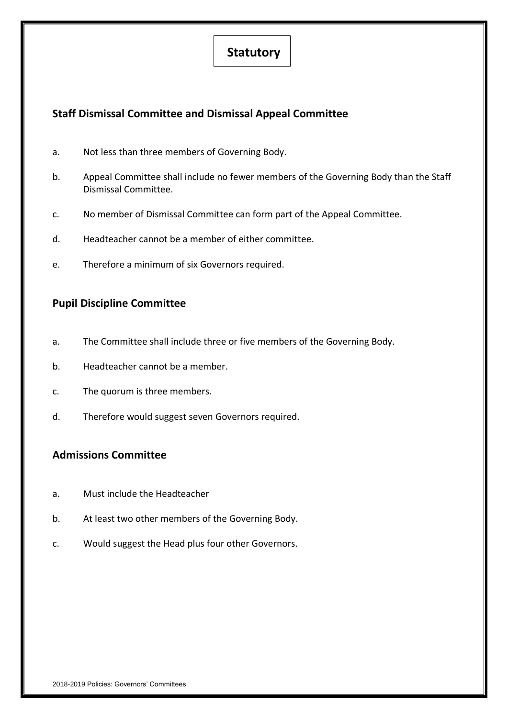# **Statutory**

# **Staff Dismissal Committee and Dismissal Appeal Committee**

- a. Not less than three members of Governing Body.
- b. Appeal Committee shall include no fewer members of the Governing Body than the Staff Dismissal Committee.
- c. No member of Dismissal Committee can form part of the Appeal Committee.
- d. Headteacher cannot be a member of either committee.
- e. Therefore a minimum of six Governors required.

# **Pupil Discipline Committee**

- a. The Committee shall include three or five members of the Governing Body.
- b. Headteacher cannot be a member.
- c. The quorum is three members.
- d. Therefore would suggest seven Governors required.

# **Admissions Committee**

- a. Must include the Headteacher
- b. At least two other members of the Governing Body.
- c. Would suggest the Head plus four other Governors.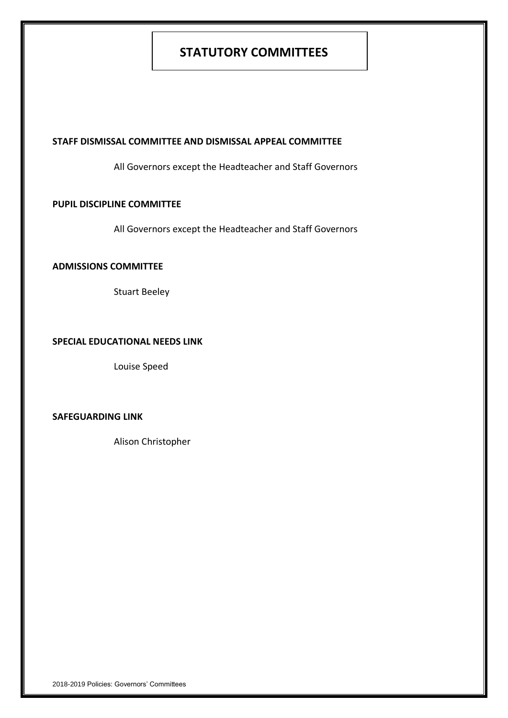# **STATUTORY COMMITTEES**

### **STAFF DISMISSAL COMMITTEE AND DISMISSAL APPEAL COMMITTEE**

All Governors except the Headteacher and Staff Governors

# **PUPIL DISCIPLINE COMMITTEE**

All Governors except the Headteacher and Staff Governors

# **ADMISSIONS COMMITTEE**

Stuart Beeley

# **SPECIAL EDUCATIONAL NEEDS LINK**

Louise Speed

# **SAFEGUARDING LINK**

Alison Christopher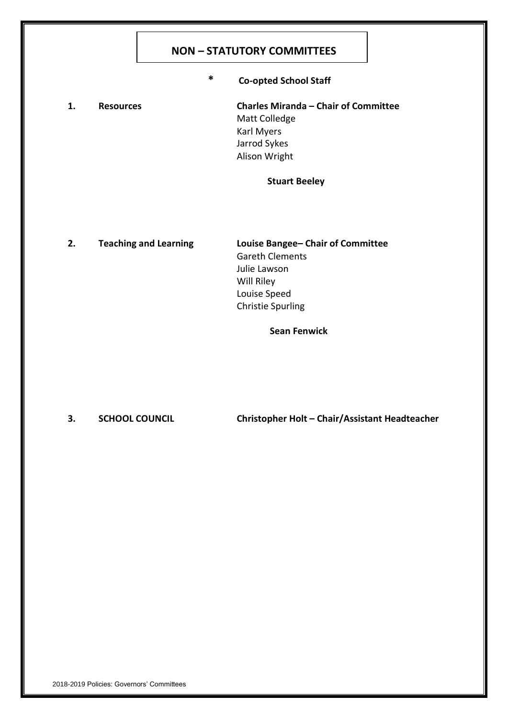# **NON – STATUTORY COMMITTEES**

**\* Co-opted School Staff**

**1. Resources Charles Miranda – Chair of Committee** Matt Colledge Karl Myers Jarrod Sykes Alison Wright

# **Stuart Beeley**

**2. Teaching and Learning Louise Bangee– Chair of Committee** Gareth Clements Julie Lawson Will Riley Louise Speed Christie Spurling

**Sean Fenwick**

**3. SCHOOL COUNCIL Christopher Holt – Chair/Assistant Headteacher**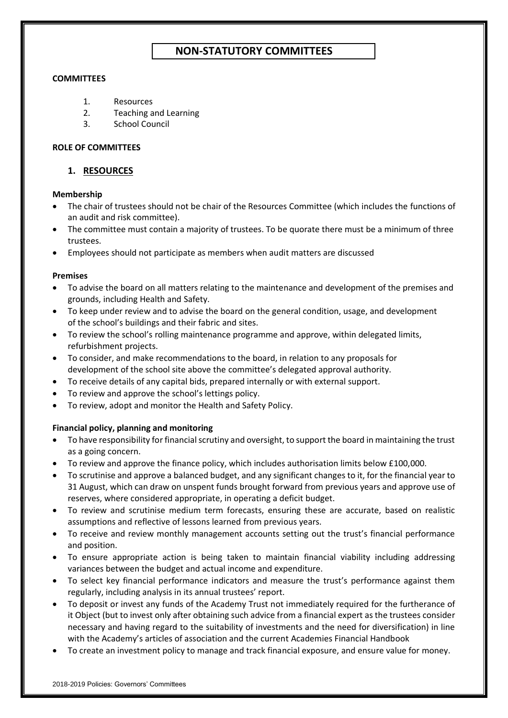# **NON-STATUTORY COMMITTEES**

### **COMMITTEES**

- 1. Resources
- 2. Teaching and Learning
- 3. School Council

### **ROLE OF COMMITTEES**

# **1. RESOURCES**

### **Membership**

- The chair of trustees should not be chair of the Resources Committee (which includes the functions of an audit and risk committee).
- The committee must contain a majority of trustees. To be quorate there must be a minimum of three trustees.
- Employees should not participate as members when audit matters are discussed

### **Premises**

- To advise the board on all matters relating to the maintenance and development of the premises and grounds, including Health and Safety.
- To keep under review and to advise the board on the general condition, usage, and development of the school's buildings and their fabric and sites.
- To review the school's rolling maintenance programme and approve, within delegated limits, refurbishment projects.
- To consider, and make recommendations to the board, in relation to any proposals for development of the school site above the committee's delegated approval authority.
- To receive details of any capital bids, prepared internally or with external support.
- To review and approve the school's lettings policy.
- To review, adopt and monitor the Health and Safety Policy.

# **Financial policy, planning and monitoring**

- To have responsibility for financial scrutiny and oversight, to support the board in maintaining the trust as a going concern.
- To review and approve the finance policy, which includes authorisation limits below £100,000.
- To scrutinise and approve a balanced budget, and any significant changes to it, for the financial year to 31 August, which can draw on unspent funds brought forward from previous years and approve use of reserves, where considered appropriate, in operating a deficit budget.
- To review and scrutinise medium term forecasts, ensuring these are accurate, based on realistic assumptions and reflective of lessons learned from previous years.
- To receive and review monthly management accounts setting out the trust's financial performance and position.
- To ensure appropriate action is being taken to maintain financial viability including addressing variances between the budget and actual income and expenditure.
- To select key financial performance indicators and measure the trust's performance against them regularly, including analysis in its annual trustees' report.
- To deposit or invest any funds of the Academy Trust not immediately required for the furtherance of it Object (but to invest only after obtaining such advice from a financial expert as the trustees consider necessary and having regard to the suitability of investments and the need for diversification) in line with the Academy's articles of association and the current Academies Financial Handbook
- To create an investment policy to manage and track financial exposure, and ensure value for money.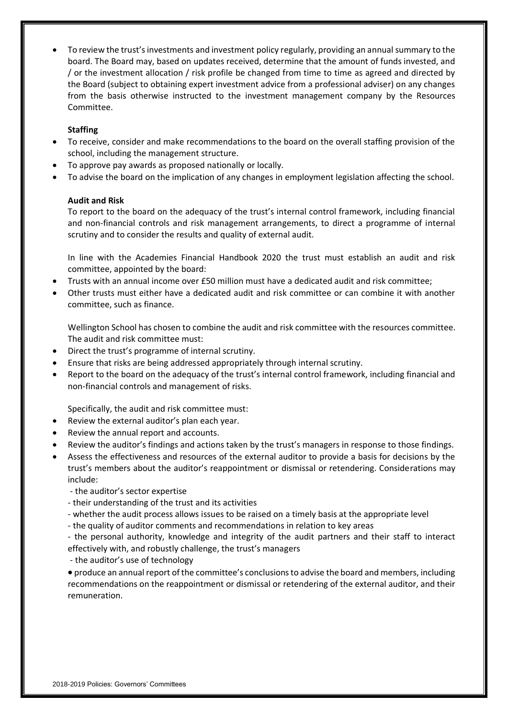• To review the trust's investments and investment policy regularly, providing an annual summary to the board. The Board may, based on updates received, determine that the amount of funds invested, and / or the investment allocation / risk profile be changed from time to time as agreed and directed by the Board (subject to obtaining expert investment advice from a professional adviser) on any changes from the basis otherwise instructed to the investment management company by the Resources Committee.

## **Staffing**

- To receive, consider and make recommendations to the board on the overall staffing provision of the school, including the management structure.
- To approve pay awards as proposed nationally or locally.
- To advise the board on the implication of any changes in employment legislation affecting the school.

### **Audit and Risk**

To report to the board on the adequacy of the trust's internal control framework, including financial and non-financial controls and risk management arrangements, to direct a programme of internal scrutiny and to consider the results and quality of external audit.

In line with the Academies Financial Handbook 2020 the trust must establish an audit and risk committee, appointed by the board:

- Trusts with an annual income over £50 million must have a dedicated audit and risk committee;
- Other trusts must either have a dedicated audit and risk committee or can combine it with another committee, such as finance.

Wellington School has chosen to combine the audit and risk committee with the resources committee. The audit and risk committee must:

- Direct the trust's programme of internal scrutiny.
- Ensure that risks are being addressed appropriately through internal scrutiny.
- Report to the board on the adequacy of the trust's internal control framework, including financial and non-financial controls and management of risks.

Specifically, the audit and risk committee must:

- Review the external auditor's plan each year.
- Review the annual report and accounts.
- Review the auditor's findings and actions taken by the trust's managers in response to those findings.
- Assess the effectiveness and resources of the external auditor to provide a basis for decisions by the trust's members about the auditor's reappointment or dismissal or retendering. Considerations may include:
	- the auditor's sector expertise
	- their understanding of the trust and its activities
	- whether the audit process allows issues to be raised on a timely basis at the appropriate level
	- the quality of auditor comments and recommendations in relation to key areas
	- the personal authority, knowledge and integrity of the audit partners and their staff to interact effectively with, and robustly challenge, the trust's managers
	- the auditor's use of technology

• produce an annual report of the committee's conclusions to advise the board and members, including recommendations on the reappointment or dismissal or retendering of the external auditor, and their remuneration.